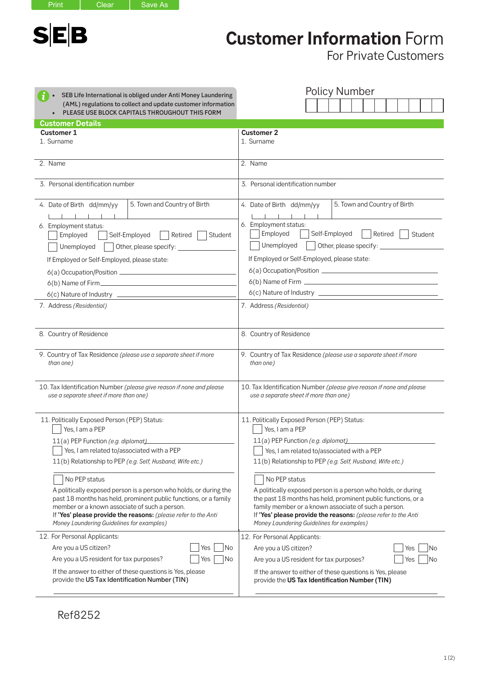$S|E|B$ 

Print | Clear | Save As

**Customer Information** Form

For Private Customers

| SEB Life International is obliged under Anti Money Laundering<br>(AML) regulations to collect and update customer information<br>PLEASE USE BLOCK CAPITALS THROUGHOUT THIS FORM<br>$\bullet$ | <b>Policy Number</b>                                                 |  |
|----------------------------------------------------------------------------------------------------------------------------------------------------------------------------------------------|----------------------------------------------------------------------|--|
| <b>Customer Details</b>                                                                                                                                                                      |                                                                      |  |
| <b>Customer 1</b>                                                                                                                                                                            | <b>Customer 2</b>                                                    |  |
| 1. Surname                                                                                                                                                                                   | 1. Surname                                                           |  |
| 2. Name                                                                                                                                                                                      | 2. Name                                                              |  |
| 3. Personal identification number                                                                                                                                                            | 3. Personal identification number                                    |  |
| 5. Town and Country of Birth                                                                                                                                                                 | 5. Town and Country of Birth                                         |  |
| 4. Date of Birth dd/mm/yy                                                                                                                                                                    | 4. Date of Birth dd/mm/yy                                            |  |
| $1 - 1 - 1 - 1 - 1$                                                                                                                                                                          | $\blacksquare$                                                       |  |
| 6. Employment status:                                                                                                                                                                        | 6. Employment status:                                                |  |
| Employed                                                                                                                                                                                     | Employed                                                             |  |
| Self-Employed                                                                                                                                                                                | Self-Employed                                                        |  |
| Retired                                                                                                                                                                                      | Retired                                                              |  |
| Student                                                                                                                                                                                      | Student                                                              |  |
| Unemployed                                                                                                                                                                                   | Unemployed                                                           |  |
| Other, please specify:                                                                                                                                                                       | Other, please specify:                                               |  |
| If Employed or Self-Employed, please state:                                                                                                                                                  | If Employed or Self-Employed, please state:                          |  |
|                                                                                                                                                                                              |                                                                      |  |
|                                                                                                                                                                                              |                                                                      |  |
|                                                                                                                                                                                              |                                                                      |  |
| 7. Address (Residential)                                                                                                                                                                     | 7. Address (Residential)                                             |  |
| 8. Country of Residence                                                                                                                                                                      | 8. Country of Residence                                              |  |
| 9. Country of Tax Residence (please use a separate sheet if more                                                                                                                             | 9. Country of Tax Residence (please use a separate sheet if more     |  |
| than one)                                                                                                                                                                                    | than one)                                                            |  |
| 10. Tax Identification Number (please give reason if none and please                                                                                                                         | 10. Tax Identification Number (please give reason if none and please |  |
| use a separate sheet if more than one)                                                                                                                                                       | use a separate sheet if more than one)                               |  |
| 11. Politically Exposed Person (PEP) Status:                                                                                                                                                 | 11. Politically Exposed Person (PEP) Status:                         |  |
| Yes, I am a PEP                                                                                                                                                                              | Yes, I am a PEP                                                      |  |
| 11(a) PEP Function (e.g. diplomat)                                                                                                                                                           | 11(a) PEP Function (e.g. diplomat)                                   |  |
| Yes, I am related to/associated with a PEP                                                                                                                                                   | Yes, I am related to/associated with a PEP                           |  |
| 11(b) Relationship to PEP (e.g. Self, Husband, Wife etc.)                                                                                                                                    | 11(b) Relationship to PEP (e.g. Self, Husband, Wife etc.)            |  |
| No PEP status                                                                                                                                                                                | No PEP status                                                        |  |
| A politically exposed person is a person who holds, or during the                                                                                                                            | A politically exposed person is a person who holds, or during        |  |
| past 18 months has held, prominent public functions, or a family                                                                                                                             | the past 18 months has held, prominent public functions, or a        |  |
| member or a known associate of such a person.                                                                                                                                                | family member or a known associate of such a person.                 |  |
| If 'Yes' please provide the reasons: (please refer to the Anti                                                                                                                               | If 'Yes' please provide the reasons: (please refer to the Anti       |  |
| Money Laundering Guidelines for examples)                                                                                                                                                    | Money Laundering Guidelines for examples)                            |  |
| 12. For Personal Applicants:                                                                                                                                                                 | 12. For Personal Applicants:                                         |  |
| Are you a US citizen?                                                                                                                                                                        | Are you a US citizen?                                                |  |
| No                                                                                                                                                                                           | No                                                                   |  |
| Yes                                                                                                                                                                                          | Yes                                                                  |  |
| Are you a US resident for tax purposes?                                                                                                                                                      | Yes                                                                  |  |
| Yes                                                                                                                                                                                          | Are you a US resident for tax purposes?                              |  |
| No                                                                                                                                                                                           | No                                                                   |  |
| If the answer to either of these questions is Yes, please                                                                                                                                    | If the answer to either of these questions is Yes, please            |  |
| provide the US Tax Identification Number (TIN)                                                                                                                                               | provide the US Tax Identification Number (TIN)                       |  |